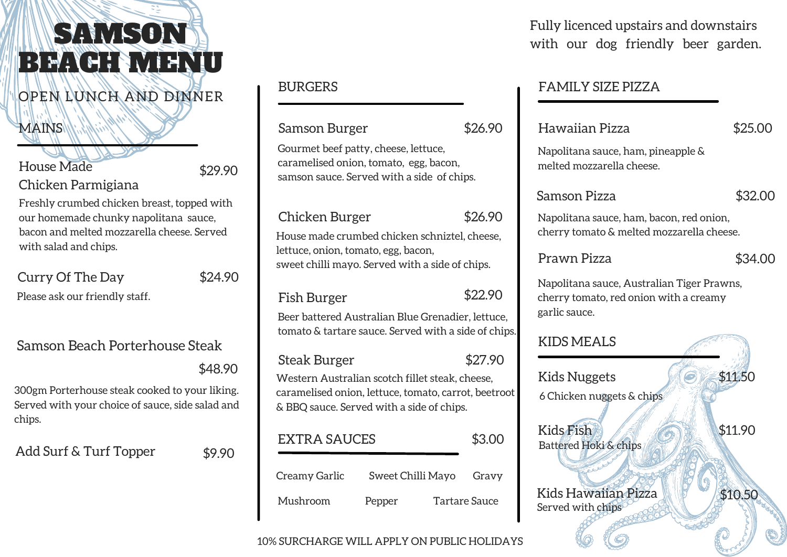# SAMSON BEACH MENU

## OPEN LUNCH AND DINNER

#### **MAINS**

#### 10% SURCHARGE WILL APPLY ON PUBLIC HOLIDAYS

#### BURGERS

Samson Burger \$26.90 Gourmet beef patty, cheese, lettuce, caramelised onion, tomato, egg, bacon, samson sauce. Served with a side of chips.

### Chicken Burger \$26.90

House made crumbed chicken schniztel, cheese, lettuce, onion, tomato, egg, bacon, sweet chilli mayo. Served with a side of chips.

#### Fish Burger  $$22.90$

Beer battered Australian Blue Grenadier, lettuce, tomato & tartare sauce. Served with a side of chips.

Steak Burger \$27.90

Western Australian scotch fillet steak, cheese, caramelised onion, lettuce, tomato, carrot, beetroot & BBQ sauce. Served with a side of chips.

#### FAMILY SIZE PIZZA

#### Hawaiian Pizza

Napolitana sauce, ham, pineapple & melted mozzarella cheese.

#### Samson Pizza

Napolitana sauce, ham, bacon, red onion, cherry tomato & melted mozzarella cheese.

# Kids Nuggets  $\blacksquare$  \$11.50 6 Chicken nuggets & chips Kids Fish  $\sqrt{2}$   $\sqrt{511.90}$ Kids Hawaiian Pizza | 1510.50

#### Prawn Pizza

Napolitana sauce, Australian Tiger Prawns, cherry tomato, red onion with a creamy garlic sauce.

### Samson Beach Porterhouse Steak

\$48.90

300gm Porterhouse steak cooked to your liking. Served with your choice of sauce, side salad and chips.

Add Surf & Turf Topper \$9.90

House Made

Chicken Parmigiana

\$29.90

Freshly crumbed chicken breast, topped with our homemade chunky napolitana sauce, bacon and melted mozzarella cheese. Served with salad and chips.

Curry Of The Day \$24.90

## KIDS MEALS



Served with chips

\$32.00

#### \$25.00

\$34.00

EXTRA SAUCES Creamy Garlic Pepper Gravy Mushroom Pepper Tartare Sauce \$3.00 Sweet Chilli Mayo

#### Fully licenced upstairs and downstairs with our dog friendly beer garden.

Please ask our friendly staff.